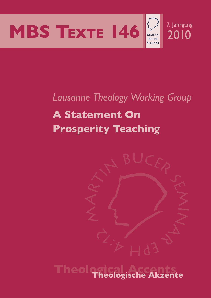

## *Lausanne Theology Working Group* **A Statement On Prosperity Teaching**



# **Theological Accents Theologische Akzente**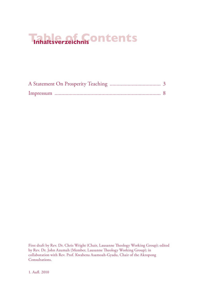## **Table of Contents Inhaltsverzeichnis**

First draft by Rev. Dr. Chris Wright (Chair, Lausanne Theology Working Group); edited by Rev. Dr. John Azumah (Member, Lausanne Theology Working Group); in collaboration with Rev. Prof. Kwabena Asamoah-Gyadu, Chair of the Akropong Consultations.

1. Aufl. 2010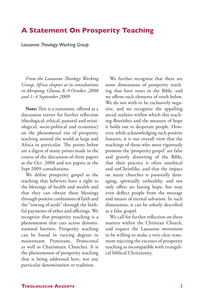## **A Statement On Prosperity Teaching**

*Lausanne Theology Working Group*

*From the Lausanne Theology Working Group, Africa chapter at its consultations in Akropong, Ghana, 8–9 October, 2008 and 1–4 September 2009*

**Note:** This is a statement, offered as a discussion starter for further reflection (theological, ethical, pastoral and missiological, socio-political and economic) on the phenomenal rise of prosperity teaching around the world at large and Africa in particular. The points below are a digest of many points made in the course of the discussion of three papers at the Oct. 2008 and ten papers at the Sept 2009 consultations.

We define prosperity gospel as the teaching that believers have a right to the blessings of health and wealth and that they can obtain these blessings through positive confessions of faith and the "sowing of seeds" through the faithful payments of tithes and offerings. We recognize that prosperity teaching is a phenomenon that cuts across denominational barriers. Prosperity teaching can be found in varying degrees in mainstream Protestant, Pentecostal as well as Charismatic Churches. It is the phenomenon of prosperity teaching that is being addressed here, not any particular denomination or tradition.

We further recognize that there are some dimensions of prosperity teaching that have roots in the Bible, and we affirm such elements of truth below. We do not wish to be exclusively negative, and we recognize the appalling social realities within which this teaching flourishes and the measure of hope it holds out to desperate people. However, while acknowledging such positive features, it is our overall view that the teachings of those who most vigorously promote the 'prosperity gospel' are false and gravely distorting of the Bible, that their practice is often unethical and unChristlike, and that the impact on many churches is pastorally damaging, spiritually unhealthy, and not only offers no lasting hope, but may even deflect people from the message and means of eternal salvation. In such dimensions, it can be soberly described as a false gospel.

We call for further reflection on these matters within the Christian Church, and request the Lausanne movement to be willing to make a very clear statement rejecting the excesses of prosperity teaching as incompatible with evangelical biblical Christianity.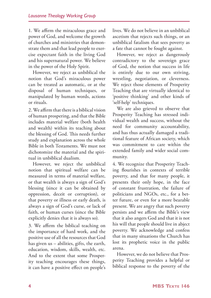1. We affirm the miraculous grace and power of God, and welcome the growth of churches and ministries that demonstrate them and that lead people to exercise expectant faith in the living God and his supernatural power. We believe in the power of the Holy Spirit.

However, we reject as unbiblical the notion that God's miraculous power can be treated as automatic, or at the disposal of human techniques, or manipulated by human words, actions or rituals.

2. We affirm that there is a biblical vision of human prospering, and that the Bible includes material welfare (both health and wealth) within its teaching about the blessing of God. This needs further study and explanation across the whole Bible in both Testaments. We must not dichotomize the material and the spiritual in unbiblical dualism.

However, we reject the unbiblical notion that spiritual welfare can be measured in terms of material welfare, or that wealth is always a sign of God's blessing (since it can be obtained by oppression, deceit or corruption), or that poverty or illness or early death, is always a sign of God's curse, or lack of faith, or human curses (since the Bible explicitly denies that it is always so).

3. We affirm the biblical teaching on the importance of hard work, and the positive use of all the resources that God has given us – abilities, gifts, the earth, education, wisdom, skills, wealth, etc. And to the extent that some Prosperity teaching encourages these things, it can have a positive effect on people's lives. We do not believe in an unbiblical ascetism that rejects such things, or an unbiblical fatalism that sees poverty as a fate that cannot be fought against.

However, we reject as dangerously contradictory to the sovereign grace of God, the notion that success in life is entirely due to our own striving, wrestling, negotiation, or cleverness. We reject those elements of Prosperity Teaching that are virtually identical to 'positive thinking' and other kinds of 'self-help' techniques.

We are also grieved to observe that Prosperity Teaching has stressed individual wealth and success, without the need for community accountability, and has thus actually damaged a traditional feature of African society, which was commitment to care within the extended family and wider social community.

4. We recognize that Prosperity Teaching flourishes in contexts of terrible poverty, and that for many people, it presents their only hope, in the face of constant frustration, the failure of politicians and NGOs, etc., for a better future, or even for a more bearable present. We are angry that such poverty persists and we affirm the Bible's view that it also angers God and that it is not his will that people should live in abject poverty. We acknowledge and confess that in many situations the Church has lost its prophetic voice in the public arena.

However, we do not believe that Prosperity Teaching provides a helpful or biblical response to the poverty of the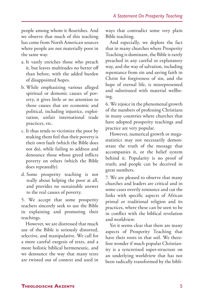people among whom it flourishes. And we observe that much of this teaching has come from North American sources where people are not materially poor in the same way.

- a. It vastly enriches those who preach it, but leaves multitudes no better off than before, with the added burden of disappointed hopes.
- b. While emphasizing various alleged spiritual or demonic causes of poverty, it gives little or no attention to those causes that are economic and political, including injustice, exploitation, unfair international trade practices, etc.
- c. It thus tends to victimize the poor by making them feel that their poverty is their own fault (which the Bible does not do), while failing to address and denounce those whose greed inflicts poverty on others (which the Bible does repeatedly).
- d. Some prosperity teaching is not really about helping the poor at all, and provides no sustainable answer to the real causes of poverty.

5. We accept that some prosperity teachers sincerely seek to use the Bible in explaining and promoting their teachings.

However, we are distressed that much use of the Bible is seriously distorted, selective, and manipulative. We call for a more careful exegesis of texts, and a more holistic biblical hermeneutic, and we denounce the way that many texts are twisted out of context and used in ways that contradict some very plain Bible teaching.

And especially, we deplore the fact that in many churches where Prosperity Teaching is dominant, the Bible is rarely preached in any careful or explanatory way, and the way of salvation, including repentance from sin and saving faith in Christ for forgiveness of sin, and the hope of eternal life, is misrepresented and substituted with material wellbeing.

6. We rejoice in the phenomenal growth of the numbers of professing Christians in many countries where churches that have adopted prosperity teachings and practice are very popular.

However, numerical growth or megastatistics may not necessarily demonstrate the truth of the message that accompanies it, or the belief system behind it. Popularity is no proof of truth; and people can be deceived in great numbers.

7. We are pleased to observe that many churches and leaders are critical and in some cases overtly renounce and cut the links with specific aspects of African primal or traditional religion and its practices, where these can be seen to be in conflict with the biblical revelation and worldview.

Yet it seems clear that there are many aspects of Prosperity Teaching that have their roots in that soil. We therefore wonder if much popular Christianity is a syncretised super-structure on an underlying worldview that has not been radically transformed by the bibli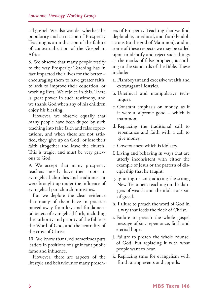cal gospel. We also wonder whether the popularity and attraction of Prosperity Teaching is an indication of the failure of contextualization of the Gospel in Africa.

8. We observe that many people testify to the way Prosperity Teaching has in fact impacted their lives for the better – encouraging them to have greater faith, to seek to improve their education, or working lives. We rejoice in this. There is great power in such testimony, and we thank God when any of his children enjoy his blessing.

However, we observe equally that many people have been duped by such teaching into false faith and false expectations, and when these are not satisfied, they 'give up on God', or lose their faith altogether and leave the church. This is tragic, and must be very grievous to God.

9. We accept that many prosperity teachers mostly have their roots in evangelical churches and traditions, or were brought up under the influence of evangelical parachurch ministries.

But we deplore the clear evidence that many of them have in practice moved away from key and fundamental tenets of evangelical faith, including the authority and priority of the Bible as the Word of God, and the centrality of the cross of Christ.

10. We know that God sometimes puts leaders in positions of significant public fame and influence.

However, there are aspects of the lifestyle and behaviour of many preachers of Prosperity Teaching that we find deplorable, unethical, and frankly idolatrous (to the god of Mammon), and in some of these respects we may be called upon to identify and reject such things as the marks of false prophets, according to the standards of the Bible. These include:

- a. Flamboyant and excessive wealth and extravagant lifestyles.
- b. Unethical and manipulative techniques.
- c. Constant emphasis on money, as if it were a supreme good – which is mammon.
- d. Replacing the traditional call to repentance and faith with a call to give money.
- e. Covetousness which is idolatry.
- f. Living and behaving in ways that are utterly inconsistent with either the example of Jesus or the pattern of discipleship that he taught.
- g. Ignoring or contradicting the strong New Testament teaching on the dangers of wealth and the idolatrous sin of greed.
- h. Failure to preach the word of God in a way that feeds the flock of Christ.
- i. Failure to preach the whole gospel message of sin, repentance, faith and eternal hope.
- j. Failure to preach the whole counsel of God, but replacing it with what people want to hear.
- k. Replacing time for evangelism with fund raising events and appeals.